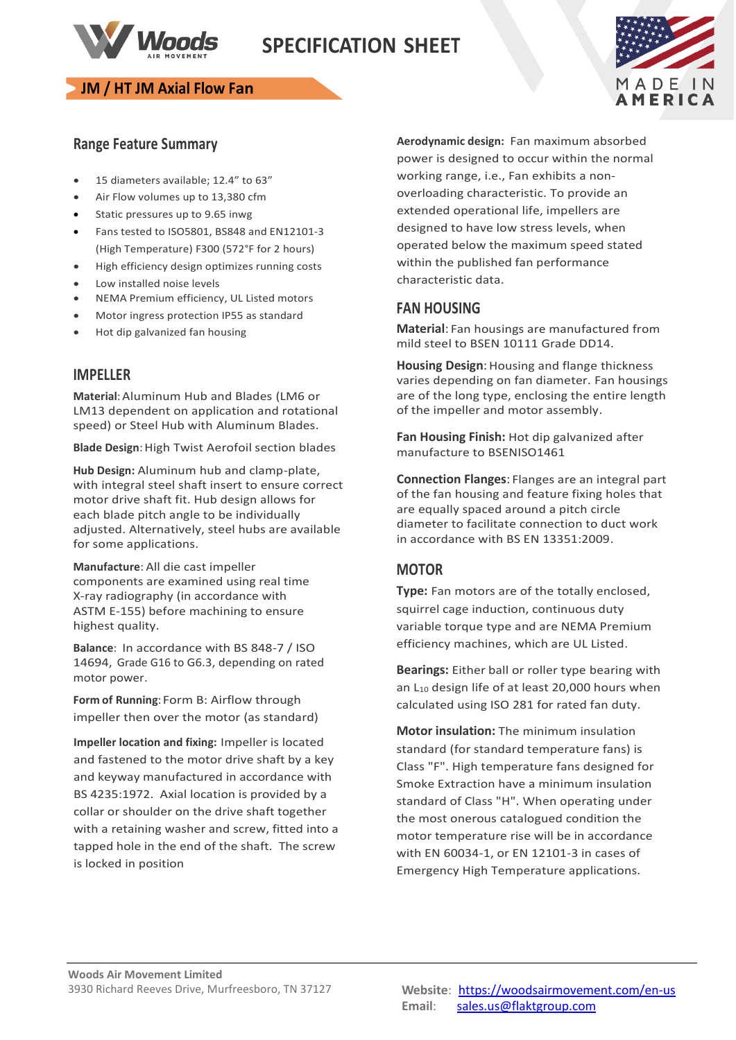

# **SPECIFICATION SHEET**

### **JM / HT JM Axial Flow Fan**



### **Range Feature Summary**

- 15 diameters available; 12.4" to 63"
- Air Flow volumes up to 13,380 cfm
- Static pressures up to 9.65 inwg
- Fans tested to ISO5801, BS848 and EN12101-3 (High Temperature) F300 (572°F for 2 hours)
- High efficiency design optimizes running costs
- Low installed noise levels
- NEMA Premium efficiency, UL Listed motors
- Motor ingress protection IP55 as standard
- Hot dip galvanized fan housing

#### **IMPELLER**

**Material**:Aluminum Hub and Blades (LM6 or LM13 dependent on application and rotational speed) or Steel Hub with Aluminum Blades.

**Blade Design: High Twist Aerofoil section blades** 

**Hub Design:** Aluminum hub and clamp-plate, with integral steel shaft insert to ensure correct motor drive shaft fit. Hub design allows for each blade pitch angle to be individually adjusted. Alternatively, steel hubs are available for some applications.

**Manufacture**: All die cast impeller components are examined using real time X-ray radiography (in accordance with ASTM E-155) before machining to ensure highest quality.

**Balance**: In accordance with BS 848-7 / ISO 14694, Grade G16 to G6.3, depending on rated motor power.

**Form of Running**: Form B: Airflow through impeller then over the motor (as standard)

**Impeller location and fixing:** Impeller is located and fastened to the motor drive shaft by a key and keyway manufactured in accordance with BS 4235:1972. Axial location is provided by a collar or shoulder on the drive shaft together with a retaining washer and screw, fitted into a tapped hole in the end of the shaft. The screw is locked in position

**Aerodynamic design:** Fan maximum absorbed power is designed to occur within the normal working range, i.e., Fan exhibits a nonoverloading characteristic. To provide an extended operational life, impellers are designed to have low stress levels, when operated below the maximum speed stated within the published fan performance characteristic data.

### **FAN HOUSING**

**Material**: Fan housings are manufactured from mild steel to BSEN 10111 Grade DD14.

**Housing Design**: Housing and flange thickness varies depending on fan diameter. Fan housings are of the long type, enclosing the entire length of the impeller and motor assembly.

**Fan Housing Finish:** Hot dip galvanized after manufacture to BSENISO1461

**Connection Flanges**: Flanges are an integral part of the fan housing and feature fixing holes that are equally spaced around a pitch circle diameter to facilitate connection to duct work in accordance with BS EN 13351:2009.

### **MOTOR**

**Type:** Fan motors are of the totally enclosed, squirrel cage induction, continuous duty variable torque type and are NEMA Premium efficiency machines, which are UL Listed.

**Bearings:** Either ball or roller type bearing with an L<sub>10</sub> design life of at least 20,000 hours when calculated using ISO 281 for rated fan duty.

**Motor insulation:** The minimum insulation standard (for standard temperature fans) is Class "F". High temperature fans designed for Smoke Extraction have a minimum insulation standard of Class "H". When operating under the most onerous catalogued condition the motor temperature rise will be in accordance with EN 60034-1, or EN 12101-3 in cases of Emergency High Temperature applications.